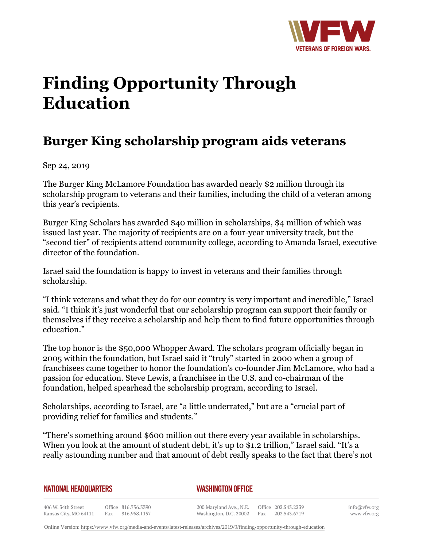

## **Finding Opportunity Through Education**

## **Burger King scholarship program aids veterans**

Sep 24, 2019

The Burger King McLamore Foundation has awarded nearly \$2 million through its scholarship program to veterans and their families, including the child of a veteran among this year's recipients.

Burger King Scholars has awarded \$40 million in scholarships, \$4 million of which was issued last year. The majority of recipients are on a four-year university track, but the "second tier" of recipients attend community college, according to Amanda Israel, executive director of the foundation.

Israel said the foundation is happy to invest in veterans and their families through scholarship.

"I think veterans and what they do for our country is very important and incredible," Israel said. "I think it's just wonderful that our scholarship program can support their family or themselves if they receive a scholarship and help them to find future opportunities through education."

The top honor is the \$50,000 Whopper Award. The scholars program officially began in 2005 within the foundation, but Israel said it "truly" started in 2000 when a group of franchisees came together to honor the foundation's co-founder Jim McLamore, who had a passion for education. Steve Lewis, a franchisee in the U.S. and co-chairman of the foundation, helped spearhead the scholarship program, according to Israel.

Scholarships, according to Israel, are "a little underrated," but are a "crucial part of providing relief for families and students."

"There's something around \$600 million out there every year available in scholarships. When you look at the amount of student debt, it's up to \$1.2 trillion," Israel said. "It's a really astounding number and that amount of debt really speaks to the fact that there's not

## **NATIONAL HEADQUARTERS**

## *WASHINGTON OFFICE*

406 W. 34th Street Office 816.756.3390 Fax 816.968.1157 Kansas City, MO 64111

200 Maryland Ave., N.E. Washington, D.C. 20002

Office 202.543.2239 Fax 202.543.6719 info@vfw.org www.vfw.org

Online Version:<https://www.vfw.org/media-and-events/latest-releases/archives/2019/9/finding-opportunity-through-education>